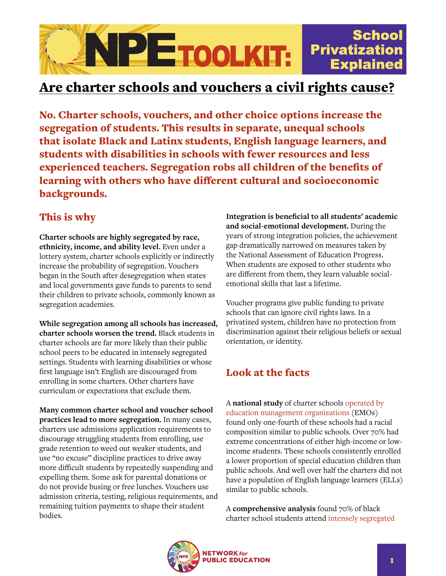

## Are charter schools and vouchers a civil rights cause?

No. Charter schools, vouchers, and other choice options increase the segregation of students. This results in separate, unequal schools that isolate Black and Latinx students, English language learners, and students with disabilities in schools with fewer resources and less experienced teachers. Segregation robs all children of the benefits of learning with others who have different cultural and socioeconomic backgrounds.

## This is why

**Charter schools are highly segregated by race, ethnicity, income, and ability level.** Even under a lottery system, charter schools explicitly or indirectly increase the probability of segregation. Vouchers began in the South after desegregation when states and local governments gave funds to parents to send their children to private schools, commonly known as segregation academies.

**While segregation among all schools has increased, charter schools worsen the trend.** Black students in charter schools are far more likely than their public school peers to be educated in intensely segregated settings. Students with learning disabilities or whose first language isn't English are discouraged from enrolling in some charters. Other charters have curriculum or expectations that exclude them.

**Many common charter school and voucher school practices lead to more segregation.** In many cases, charters use admissions application requirements to discourage struggling students from enrolling, use grade retention to weed out weaker students, and use "no excuse" discipline practices to drive away more difficult students by repeatedly suspending and expelling them. Some ask for parental donations or do not provide busing or free lunches. Vouchers use admission criteria, testing, religious requirements, and remaining tuition payments to shape their student bodies.

**Integration is beneficial to all students' academic and social-emotional development.** During the years of strong integration policies, the achievement gap dramatically narrowed on measures taken by the National Assessment of Education Progress. When students are exposed to other students who are different from them, they learn valuable socialemotional skills that last a lifetime.

Voucher programs give public funding to private schools that can ignore civil rights laws. In a privatized system, children have no protection from discrimination against their religious beliefs or sexual orientation, or identity.

## Look at the facts

A **national study** of charter schools [operated by](https://nepc.colorado.edu/publication/schools-without-diversity)  [education management organization](https://nepc.colorado.edu/publication/schools-without-diversity)s (EMOs) found only one-fourth of these schools had a racial composition similar to public schools. Over 70% had extreme concentrations of either high-income or lowincome students. These schools consistently enrolled a lower proportion of special education children than public schools. And well over half the charters did not have a population of English language learners (ELLs) similar to public schools.

A **comprehensive analysis** found 70% of black charter school students attend [intensely segregated](https://eric.ed.gov/?id=ED509773)